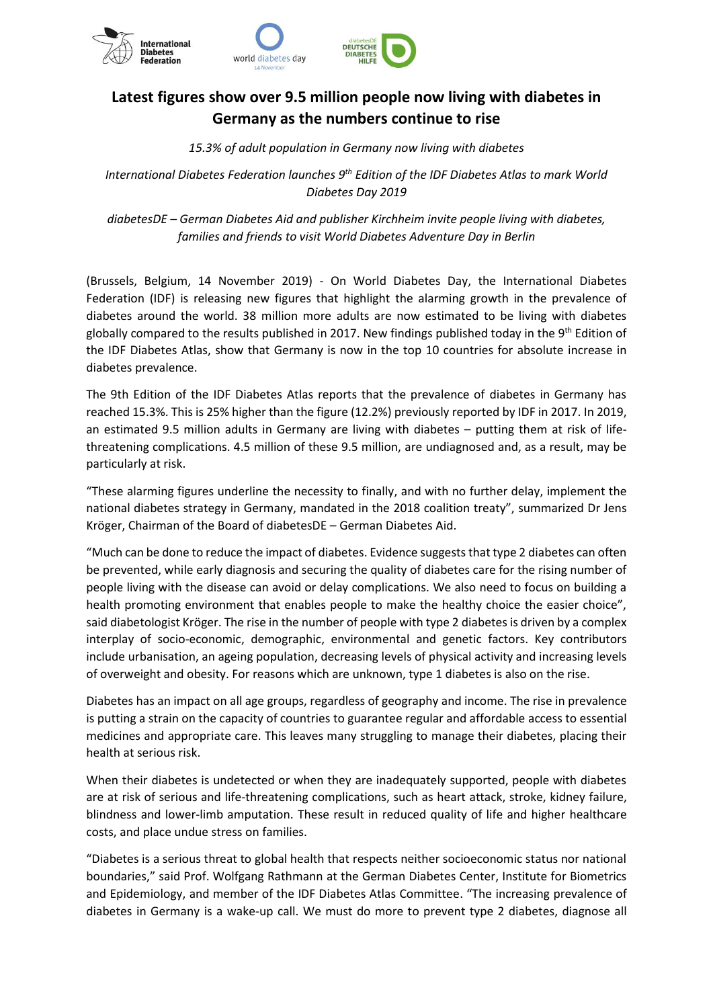

# **Latest figures show over 9.5 million people now living with diabetes in Germany as the numbers continue to rise**

## *15.3% of adult population in Germany now living with diabetes*

*International Diabetes Federation launches 9th Edition of the IDF Diabetes Atlas to mark World Diabetes Day 2019*

*diabetesDE – German Diabetes Aid and publisher Kirchheim invite people living with diabetes, families and friends to visit World Diabetes Adventure Day in Berlin*

(Brussels, Belgium, 14 November 2019) - On World Diabetes Day, the International Diabetes Federation (IDF) is releasing new figures that highlight the alarming growth in the prevalence of diabetes around the world. 38 million more adults are now estimated to be living with diabetes globally compared to the results published in 2017. New findings published today in the 9<sup>th</sup> Edition of the IDF Diabetes Atlas, show that Germany is now in the top 10 countries for absolute increase in diabetes prevalence.

The 9th Edition of the IDF Diabetes Atlas reports that the prevalence of diabetes in Germany has reached 15.3%. This is 25% higher than the figure (12.2%) previously reported by IDF in 2017. In 2019, an estimated 9.5 million adults in Germany are living with diabetes – putting them at risk of lifethreatening complications. 4.5 million of these 9.5 million, are undiagnosed and, as a result, may be particularly at risk.

"These alarming figures underline the necessity to finally, and with no further delay, implement the national diabetes strategy in Germany, mandated in the 2018 coalition treaty", summarized Dr Jens Kröger, Chairman of the Board of diabetesDE – German Diabetes Aid.

"Much can be done to reduce the impact of diabetes. Evidence suggests that type 2 diabetes can often be prevented, while early diagnosis and securing the quality of diabetes care for the rising number of people living with the disease can avoid or delay complications. We also need to focus on building a health promoting environment that enables people to make the healthy choice the easier choice", said diabetologist Kröger. The rise in the number of people with type 2 diabetes is driven by a complex interplay of socio-economic, demographic, environmental and genetic factors. Key contributors include urbanisation, an ageing population, decreasing levels of physical activity and increasing levels of overweight and obesity. For reasons which are unknown, type 1 diabetes is also on the rise.

Diabetes has an impact on all age groups, regardless of geography and income. The rise in prevalence is putting a strain on the capacity of countries to guarantee regular and affordable access to essential medicines and appropriate care. This leaves many struggling to manage their diabetes, placing their health at serious risk.

When their diabetes is undetected or when they are inadequately supported, people with diabetes are at risk of serious and life-threatening complications, such as heart attack, stroke, kidney failure, blindness and lower-limb amputation. These result in reduced quality of life and higher healthcare costs, and place undue stress on families.

"Diabetes is a serious threat to global health that respects neither socioeconomic status nor national boundaries," said Prof. Wolfgang Rathmann at the German Diabetes Center, Institute for Biometrics and Epidemiology, and member of the IDF Diabetes Atlas Committee. "The increasing prevalence of diabetes in Germany is a wake-up call. We must do more to prevent type 2 diabetes, diagnose all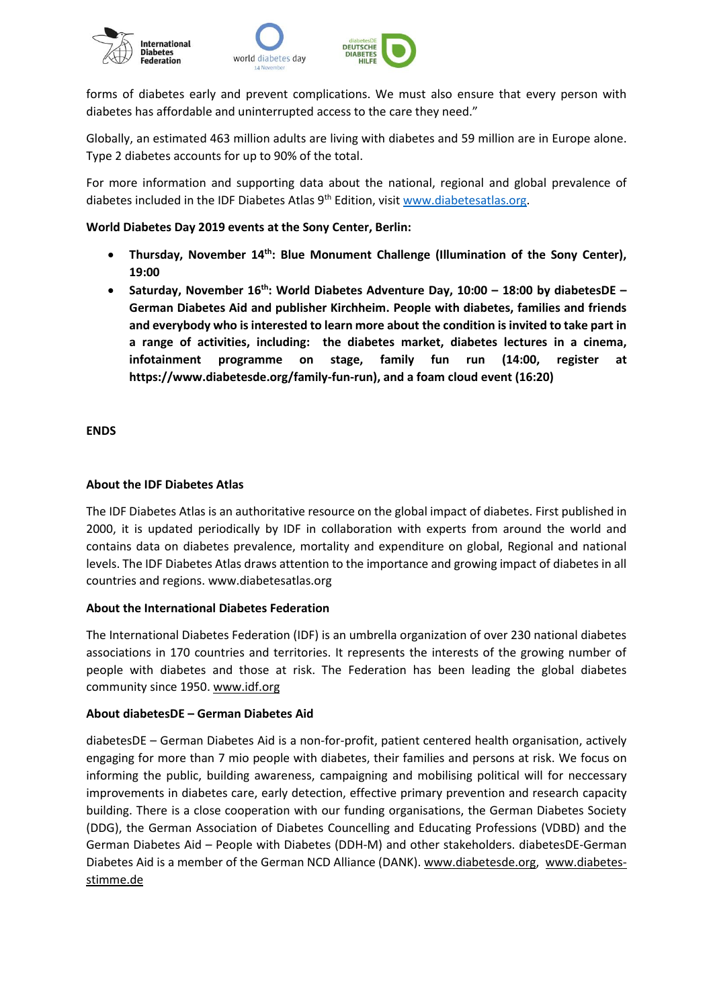

forms of diabetes early and prevent complications. We must also ensure that every person with diabetes has affordable and uninterrupted access to the care they need."

Globally, an estimated 463 million adults are living with diabetes and 59 million are in Europe alone. Type 2 diabetes accounts for up to 90% of the total.

For more information and supporting data about the national, regional and global prevalence of diabetes included in the IDF Diabetes Atlas  $9<sup>th</sup>$  Edition, visi[t www.diabetesatlas.org.](http://www.diabetesatlas.org/)

### **World Diabetes Day 2019 events at the Sony Center, Berlin:**

- **Thursday, November 14th: Blue Monument Challenge (Illumination of the Sony Center), 19:00**
- **Saturday, November 16th: World Diabetes Adventure Day, 10:00 – 18:00 by diabetesDE – German Diabetes Aid and publisher Kirchheim. People with diabetes, families and friends and everybody who is interested to learn more about the condition is invited to take part in a range of activities, including: the diabetes market, diabetes lectures in a cinema, infotainment programme on stage, family fun run (14:00, register at https://www.diabetesde.org/family-fun-run), and a foam cloud event (16:20)**

#### **ENDS**

## **About the IDF Diabetes Atlas**

The IDF Diabetes Atlas is an authoritative resource on the global impact of diabetes. First published in 2000, it is updated periodically by IDF in collaboration with experts from around the world and contains data on diabetes prevalence, mortality and expenditure on global, Regional and national levels. The IDF Diabetes Atlas draws attention to the importance and growing impact of diabetes in all countries and regions. www.diabetesatlas.org

#### **About the International Diabetes Federation**

The International Diabetes Federation (IDF) is an umbrella organization of over 230 national diabetes associations in 170 countries and territories. It represents the interests of the growing number of people with diabetes and those at risk. The Federation has been leading the global diabetes community since 1950. [www.idf.org](http://www.idf.org/)

#### **About diabetesDE – German Diabetes Aid**

diabetesDE – German Diabetes Aid is a non-for-profit, patient centered health organisation, actively engaging for more than 7 mio people with diabetes, their families and persons at risk. We focus on informing the public, building awareness, campaigning and mobilising political will for neccessary improvements in diabetes care, early detection, effective primary prevention and research capacity building. There is a close cooperation with our funding organisations, the German Diabetes Society (DDG), the German Association of Diabetes Councelling and Educating Professions (VDBD) and the German Diabetes Aid – People with Diabetes (DDH-M) and other stakeholders. diabetesDE-German Diabetes Aid is a member of the German NCD Alliance (DANK). [www.diabetesde.org,](http://www.diabetesde.org/) [www.diabetes](http://www.diabetes-stimme.de/)[stimme.de](http://www.diabetes-stimme.de/)